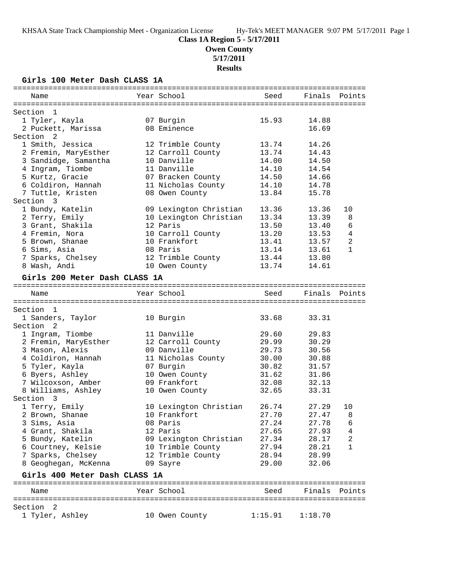# **Class 1A Region 5 - 5/17/2011**

**Owen County**

**5/17/2011**

**Results**

## **Girls 100 Meter Dash CLASS 1A**

| Name                                  | Year School            | Seed           | Finals        | Points         |
|---------------------------------------|------------------------|----------------|---------------|----------------|
|                                       |                        |                |               |                |
| Section 1                             |                        |                |               |                |
| 1 Tyler, Kayla                        | 07 Burgin              | 15.93          | 14.88         |                |
| 2 Puckett, Marissa                    | 08 Eminence            |                | 16.69         |                |
| Section <sub>2</sub>                  |                        |                |               |                |
| 1 Smith, Jessica                      | 12 Trimble County      | 13.74          | 14.26         |                |
| 2 Fremin, MaryEsther                  | 12 Carroll County      | 13.74          | 14.43         |                |
| 3 Sandidge, Samantha                  | 10 Danville            | 14.00          | 14.50         |                |
| 4 Ingram, Tiombe                      | 11 Danville            | 14.10<br>14.50 | 14.54         |                |
| 5 Kurtz, Gracie<br>6 Coldiron, Hannah | 07 Bracken County      |                | 14.66         |                |
|                                       | 11 Nicholas County     | 14.10<br>13.84 | 14.78         |                |
| 7 Tuttle, Kristen                     | 08 Owen County         |                | 15.78         |                |
| Section 3                             |                        |                |               |                |
| 1 Bundy, Katelin                      | 09 Lexington Christian | 13.36          | 13.36         | 10             |
| 2 Terry, Emily                        | 10 Lexington Christian | 13.34          | 13.39         | 8              |
| 3 Grant, Shakila                      | 12 Paris               | 13.50          | 13.40         | 6              |
| 4 Fremin, Nora                        | 10 Carroll County      | 13.20          | 13.53         | $\overline{4}$ |
| 5 Brown, Shanae                       | 10 Frankfort           | 13.41          | 13.57         | 2              |
| 6 Sims, Asia                          | 08 Paris               | 13.14          | 13.61         | $\mathbf{1}$   |
| 7 Sparks, Chelsey                     | 12 Trimble County      | 13.44          | 13.80         |                |
| 8 Wash, Andi                          | 10 Owen County         | 13.74          | 14.61         |                |
| Girls 200 Meter Dash CLASS 1A         |                        |                |               |                |
|                                       |                        |                |               |                |
| Name                                  | Year School            | Seed           | Finals        | Points         |
| Section 1                             |                        |                |               |                |
| 1 Sanders, Taylor                     | 10 Burgin              | 33.68          | 33.31         |                |
| Section<br>$\overline{2}$             |                        |                |               |                |
| 1 Ingram, Tiombe                      | 11 Danville            | 29.60          | 29.83         |                |
| 2 Fremin, MaryEsther                  | 12 Carroll County      | 29.99          | 30.29         |                |
| 3 Mason, Alexis                       | 09 Danville            | 29.73          | 30.56         |                |
| 4 Coldiron, Hannah                    | 11 Nicholas County     | 30.00          | 30.88         |                |
| 5 Tyler, Kayla                        |                        | 30.82          | 31.57         |                |
|                                       | 07 Burgin              | 31.62          | 31.86         |                |
| 6 Byers, Ashley                       | 10 Owen County         |                |               |                |
| 7 Wilcoxson, Amber                    | 09 Frankfort           | 32.08          | 32.13         |                |
| 8 Williams, Ashley                    | 10 Owen County         | 32.65          | 33.31         |                |
| Section 3                             |                        |                |               |                |
| 1 Terry, Emily                        | 10 Lexington Christian | 26.74          | 27.29         | 10             |
| 2 Brown, Shanae                       | 10 Frankfort           | 27.70          | 27.47         | $\,8\,$        |
| 3 Sims, Asia                          | 08 Paris               | 27.24          | 27.78         | 6              |
| 4 Grant, Shakila                      | 12 Paris               | 27.65          | 27.93         | 4              |
| 5 Bundy, Katelin                      | 09 Lexington Christian | 27.34          | 28.17         | 2              |
| 6 Courtney, Kelsie                    | 10 Trimble County      | 27.94          | 28.21         | 1              |
| 7 Sparks, Chelsey                     | 12 Trimble County      | 28.94          | 28.99         |                |
| 8 Geoghegan, McKenna                  | 09 Sayre               | 29.00          | 32.06         |                |
| Girls 400 Meter Dash CLASS 1A         |                        |                |               |                |
| Name                                  | Year School            | Seed           | Finals Points |                |
|                                       |                        |                |               |                |
| Section <sub>2</sub>                  |                        |                |               |                |
| 1 Tyler, Ashley                       | 10 Owen County         | 1:15.91        | 1:18.70       |                |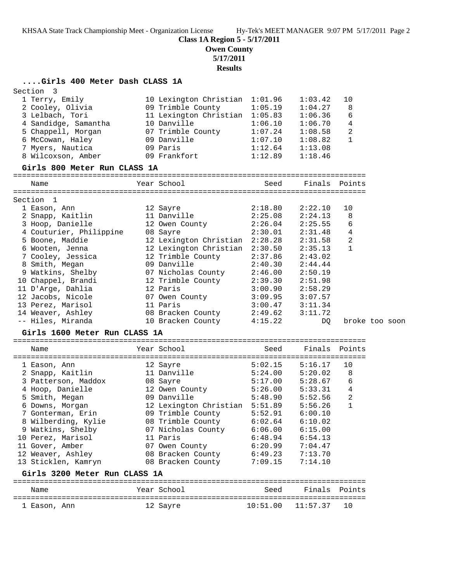**Class 1A Region 5 - 5/17/2011**

**Owen County**

**5/17/2011**

**Results**

## **....Girls 400 Meter Dash CLASS 1A**

| Section<br>3                                |                                    |                    |                    |               |                |
|---------------------------------------------|------------------------------------|--------------------|--------------------|---------------|----------------|
| 1 Terry, Emily                              | 10 Lexington Christian             | 1:01.96            | 1:03.42            | 10            |                |
| 2 Cooley, Olivia                            | 09 Trimble County                  | 1:05.19            | 1:04.27            | 8             |                |
| 3 Lelbach, Tori                             | 11 Lexington Christian             | 1:05.83            | 1:06.36            | 6             |                |
| 4 Sandidge, Samantha                        | 10 Danville                        | 1:06.10            | 1:06.70            | 4             |                |
| 5 Chappell, Morgan                          | 07 Trimble County                  | 1:07.24            | 1:08.58            | 2             |                |
| 6 McCowan, Haley                            | 09 Danville                        | 1:07.10            | 1:08.82            | $\mathbf{1}$  |                |
| 7 Myers, Nautica                            | 09 Paris                           | 1:12.64            | 1:13.08            |               |                |
| 8 Wilcoxson, Amber                          | 09 Frankfort                       | 1:12.89            | 1:18.46            |               |                |
| Girls 800 Meter Run CLASS 1A                |                                    |                    |                    |               |                |
| Name                                        | Year School                        | Seed               |                    | Finals Points |                |
|                                             |                                    |                    |                    |               |                |
| Section 1                                   |                                    |                    |                    |               |                |
| 1 Eason, Ann                                | 12 Sayre                           | 2:18.80            | 2:22.10            | 10            |                |
| 2 Snapp, Kaitlin                            | 11 Danville                        | 2:25.08            | 2:24.13            | 8<br>6        |                |
| 3 Hoop, Danielle<br>4 Couturier, Philippine | 12 Owen County                     | 2:26.04<br>2:30.01 | 2:25.55<br>2:31.48 | 4             |                |
| 5 Boone, Maddie                             | 08 Sayre<br>12 Lexington Christian | 2:28.28            | 2:31.58            | 2             |                |
| 6 Wooten, Jenna                             | 12 Lexington Christian             | 2:30.50            | 2:35.13            | $\mathbf 1$   |                |
| 7 Cooley, Jessica                           | 12 Trimble County                  | 2:37.86            | 2:43.02            |               |                |
| 8 Smith, Megan                              | 09 Danville                        | 2:40.30            | 2:44.44            |               |                |
| 9 Watkins, Shelby                           | 07 Nicholas County                 | 2:46.00            | 2:50.19            |               |                |
| 10 Chappel, Brandi                          | 12 Trimble County                  | 2:39.30            | 2:51.98            |               |                |
| 11 D'Arge, Dahlia                           | 12 Paris                           | 3:00.90            | 2:58.29            |               |                |
| 12 Jacobs, Nicole                           | 07 Owen County                     | 3:09.95            | 3:07.57            |               |                |
| 13 Perez, Marisol                           | 11 Paris                           | 3:00.47            | 3:11.34            |               |                |
| 14 Weaver, Ashley                           | 08 Bracken County                  | 2:49.62            | 3:11.72            |               |                |
| -- Hiles, Miranda                           | 10 Bracken County                  | 4:15.22            | DQ                 |               | broke too soon |
| Girls 1600 Meter Run CLASS 1A               |                                    |                    |                    |               |                |
|                                             |                                    |                    |                    |               |                |
| Name                                        | Year School                        | Seed               | Finals             | Points        |                |
|                                             |                                    |                    |                    |               |                |
| 1 Eason, Ann                                | 12 Sayre                           | 5:02.15            | 5:16.17            | 10            |                |
| 2 Snapp, Kaitlin                            | 11 Danville                        | 5:24.00            | 5:20.02            | 8             |                |
| 3 Patterson, Maddox<br>4 Hoop, Danielle     | 08 Sayre<br>12 Owen County         | 5:17.00<br>5:26.00 | 5:28.67<br>5:33.31 | 6<br>4        |                |
| 5 Smith, Megan                              | 09 Danville                        | 5:48.90            | 5:52.56            | 2             |                |
| 6 Downs, Morgan                             | 12 Lexington Christian             | 5:51.89            | 5:56.26            | 1             |                |
| 7 Gonterman, Erin                           | 09 Trimble County                  | 5:52.91            | 6:00.10            |               |                |
| 8 Wilberding, Kylie                         | 08 Trimble County                  | 6:02.64            | 6:10.02            |               |                |
| 9 Watkins, Shelby                           | 07 Nicholas County                 | 6:06.00            | 6:15.00            |               |                |
| 10 Perez, Marisol                           | 11 Paris                           | 6:48.94            | 6:54.13            |               |                |
| 11 Gover, Amber                             | 07 Owen County                     | 6:20.99            | 7:04.47            |               |                |
| 12 Weaver, Ashley                           | 08 Bracken County                  | 6:49.23            | 7:13.70            |               |                |
| 13 Sticklen, Kamryn                         | 08 Bracken County                  | 7:09.15            | 7:14.10            |               |                |
| Girls 3200 Meter Run CLASS 1A               |                                    |                    |                    |               |                |
|                                             |                                    |                    |                    |               |                |
| Name                                        | Year School                        | Seed               | Finals             | Points        |                |
| 1 Eason, Ann                                | 12 Sayre                           | 10:51.00           | 11:57.37           | 10            |                |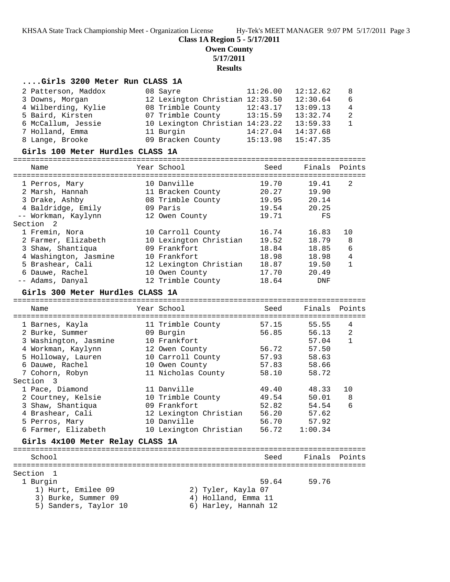**Class 1A Region 5 - 5/17/2011**

**Owen County**

**5/17/2011**

**Results**

#### **....Girls 3200 Meter Run CLASS 1A**

|                                  | 2 Patterson, Maddox |  | 08 Sayre                        | 11:26.00 | 12:12.62      | 8            |
|----------------------------------|---------------------|--|---------------------------------|----------|---------------|--------------|
|                                  | 3 Downs, Morgan     |  | 12 Lexington Christian 12:33.50 |          | 12:30.64      | 6            |
|                                  | 4 Wilberding, Kylie |  | 08 Trimble County               | 12:43.17 | 13:09.13      | 4            |
|                                  | 5 Baird, Kirsten    |  | 07 Trimble County               | 13:15.59 | 13:32.74      | 2            |
|                                  | 6 McCallum, Jessie  |  | 10 Lexington Christian 14:23.22 |          | 13:59.33      | $\mathbf{1}$ |
|                                  | 7 Holland, Emma     |  | 11 Burgin                       | 14:27.04 | 14:37.68      |              |
|                                  | 8 Lange, Brooke     |  | 09 Bracken County               | 15:13.98 | 15:47.35      |              |
| Girls 100 Meter Hurdles CLASS 1A |                     |  |                                 |          |               |              |
|                                  | Name                |  | Year School                     | Seed     | Finals Points |              |

| 1 Perros, Mary        | 10 Danville            | 19.70 | 19.41 | 2            |
|-----------------------|------------------------|-------|-------|--------------|
| 2 Marsh, Hannah       | 11 Bracken County      | 20.27 | 19.90 |              |
| 3 Drake, Ashby        | 08 Trimble County      | 19.95 | 20.14 |              |
| 4 Baldridge, Emily    | 09 Paris               | 19.54 | 20.25 |              |
| -- Workman, Kaylynn   | 12 Owen County         | 19.71 | FS    |              |
| Section 2             |                        |       |       |              |
| 1 Fremin, Nora        | 10 Carroll County      | 16.74 | 16.83 | 10           |
| 2 Farmer, Elizabeth   | 10 Lexington Christian | 19.52 | 18.79 | 8            |
| 3 Shaw, Shantiqua     | 09 Frankfort           | 18.84 | 18.85 | 6            |
| 4 Washington, Jasmine | 10 Frankfort           | 18.98 | 18.98 | 4            |
| 5 Brashear, Cali      | 12 Lexington Christian | 18.87 | 19.50 | $\mathbf{1}$ |
| 6 Dauwe, Rachel       | 10 Owen County         | 17.70 | 20.49 |              |
| -- Adams, Danyal      | 12 Trimble County      | 18.64 | DNF   |              |

#### **Girls 300 Meter Hurdles CLASS 1A**

================================================================================ Name Year School Seed Finals Points ================================================================================ 1 Barnes, Kayla 11 Trimble County 57.15 55.55 4 2 Burke, Summer 09 Burgin 56.85 56.13 2 3 Washington, Jasmine 10 Frankfort 57.04 1 4 Workman, Kaylynn 12 Owen County 56.72 57.50 5 Holloway, Lauren 10 Carroll County 57.93 58.63 6 Dauwe, Rachel 10 Owen County 57.83 58.66 7 Cohorn, Robyn 11 Nicholas County 58.10 58.72 Section 3 1 Pace, Diamond 11 Danville 49.40 48.33 10 2 Courtney, Kelsie 10 Trimble County 49.54 50.01 8 3 Shaw, Shantiqua 09 Frankfort 52.82 54.54 6 4 Brashear, Cali 12 Lexington Christian 56.20 57.62 5 Perros, Mary 10 Danville 56.70 57.92 6 Farmer, Elizabeth 10 Lexington Christian 56.72 1:00.34 **Girls 4x100 Meter Relay CLASS 1A** ================================================================================ School School Seed Finals Points ================================================================================ Section 1<br>1 Burgin

1) Hurt, Emilee 09 2) Tyler, Kayla 07

- 1 Burgin 59.64 59.76 3) Burke, Summer 09 (4) Holland, Emma 11
- 5) Sanders, Taylor 10 6) Harley, Hannah 12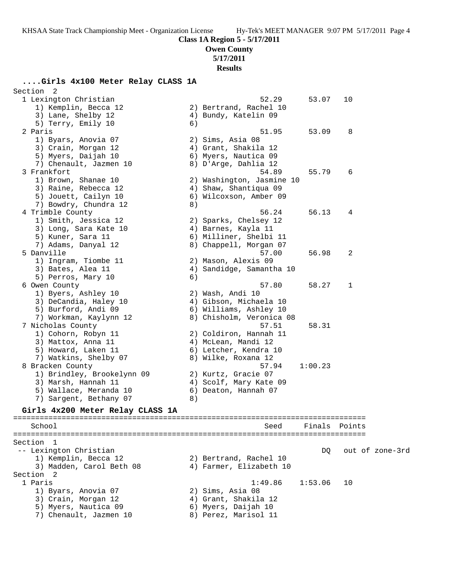# **Class 1A Region 5 - 5/17/2011**

**Owen County**

**5/17/2011**

## **Results**

## **....Girls 4x100 Meter Relay CLASS 1A**

| Section<br>$\overline{2}$                                     |    |                                        |               |    |                 |
|---------------------------------------------------------------|----|----------------------------------------|---------------|----|-----------------|
| 1 Lexington Christian                                         |    | 52.29                                  | 53.07         | 10 |                 |
| 1) Kemplin, Becca 12                                          |    | 2) Bertrand, Rachel 10                 |               |    |                 |
| 3) Lane, Shelby 12                                            |    | 4) Bundy, Katelin 09                   |               |    |                 |
| 5) Terry, Emily 10                                            | 6) |                                        |               |    |                 |
| 2 Paris                                                       |    | 51.95                                  | 53.09         | 8  |                 |
| 1) Byars, Anovia 07                                           |    | 2) Sims, Asia 08                       |               |    |                 |
| 3) Crain, Morgan 12                                           |    | 4) Grant, Shakila 12                   |               |    |                 |
| 5) Myers, Daijah 10                                           |    | 6) Myers, Nautica 09                   |               |    |                 |
| 7) Chenault, Jazmen 10                                        |    | 8) D'Arge, Dahlia 12                   |               |    |                 |
| 3 Frankfort                                                   |    | 54.89                                  | 55.79         | 6  |                 |
| 1) Brown, Shanae 10                                           |    | 2) Washington, Jasmine 10              |               |    |                 |
| 3) Raine, Rebecca 12                                          |    | 4) Shaw, Shantiqua 09                  |               |    |                 |
| 5) Jouett, Cailyn 10                                          |    | 6) Wilcoxson, Amber 09                 |               |    |                 |
| 7) Bowdry, Chundra 12                                         | 8) |                                        |               |    |                 |
| 4 Trimble County                                              |    | 56.24                                  | 56.13         | 4  |                 |
| 1) Smith, Jessica 12                                          |    | 2) Sparks, Chelsey 12                  |               |    |                 |
| 3) Long, Sara Kate 10                                         |    | 4) Barnes, Kayla 11                    |               |    |                 |
| 5) Kuner, Sara 11                                             |    | 6) Milliner, Shelbi 11                 |               |    |                 |
| 7) Adams, Danyal 12                                           |    | 8) Chappell, Morgan 07                 |               |    |                 |
| 5 Danville                                                    |    | 57.00                                  | 56.98         | 2  |                 |
| 1) Ingram, Tiombe 11                                          |    | 2) Mason, Alexis 09                    |               |    |                 |
| 3) Bates, Alea 11                                             |    | 4) Sandidge, Samantha 10               |               |    |                 |
| 5) Perros, Mary 10                                            | 6) |                                        |               |    |                 |
| 6 Owen County                                                 |    | 57.80                                  | 58.27         | 1  |                 |
| 1) Byers, Ashley 10                                           |    | 2) Wash, Andi 10                       |               |    |                 |
| 3) DeCandia, Haley 10                                         |    | 4) Gibson, Michaela 10                 |               |    |                 |
| 5) Burford, Andi 09                                           |    | 6) Williams, Ashley 10                 |               |    |                 |
| 7) Workman, Kaylynn 12                                        |    | 8) Chisholm, Veronica 08               |               |    |                 |
|                                                               |    |                                        | 58.31         |    |                 |
| 7 Nicholas County                                             |    | 57.51                                  |               |    |                 |
| 1) Cohorn, Robyn 11                                           |    | 2) Coldiron, Hannah 11                 |               |    |                 |
| 3) Mattox, Anna 11                                            |    | 4) McLean, Mandi 12                    |               |    |                 |
| 5) Howard, Laken 11                                           |    | 6) Letcher, Kendra 10                  |               |    |                 |
| 7) Watkins, Shelby 07                                         |    | 8) Wilke, Roxana 12                    |               |    |                 |
| 8 Bracken County                                              |    | 57.94                                  | 1:00.23       |    |                 |
| 1) Brindley, Brookelynn 09                                    |    | 2) Kurtz, Gracie 07                    |               |    |                 |
| 3) Marsh, Hannah 11                                           |    | 4) Scolf, Mary Kate 09                 |               |    |                 |
| 5) Wallace, Meranda 10                                        |    | 6) Deaton, Hannah 07                   |               |    |                 |
| 7) Sargent, Bethany 07                                        | 8) |                                        |               |    |                 |
| Girls 4x200 Meter Relay CLASS 1A<br>========================= |    | ====================================== |               |    |                 |
| School                                                        |    | Seed                                   | Finals Points |    |                 |
|                                                               |    |                                        |               |    |                 |
| Section 1                                                     |    |                                        |               |    |                 |
| -- Lexington Christian                                        |    |                                        | DO.           |    | out of zone-3rd |
| 1) Kemplin, Becca 12                                          |    | 2) Bertrand, Rachel 10                 |               |    |                 |
| 3) Madden, Carol Beth 08                                      |    | 4) Farmer, Elizabeth 10                |               |    |                 |
| Section<br>$\overline{\phantom{0}}^2$                         |    |                                        |               |    |                 |
| 1 Paris                                                       |    | 1:49.86                                | 1:53.06       | 10 |                 |
| 1) Byars, Anovia 07                                           |    | 2) Sims, Asia 08                       |               |    |                 |
| 3) Crain, Morgan 12                                           |    | 4) Grant, Shakila 12                   |               |    |                 |
| 5) Myers, Nautica 09                                          |    | 6) Myers, Daijah 10                    |               |    |                 |
| 7) Chenault, Jazmen 10                                        |    | 8) Perez, Marisol 11                   |               |    |                 |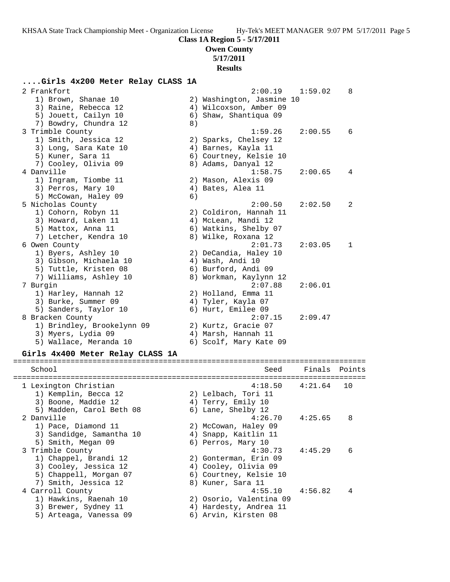**Class 1A Region 5 - 5/17/2011**

# **Owen County**

**5/17/2011**

## **Results**

## **....Girls 4x200 Meter Relay CLASS 1A**

| 2 Frankfort                                                   |    | 2:00.19                   | 1:59.02       | 8  |
|---------------------------------------------------------------|----|---------------------------|---------------|----|
| 1) Brown, Shanae 10                                           |    | 2) Washington, Jasmine 10 |               |    |
| 3) Raine, Rebecca 12                                          |    | 4) Wilcoxson, Amber 09    |               |    |
| 5) Jouett, Cailyn 10                                          |    | 6) Shaw, Shantiqua 09     |               |    |
| 7) Bowdry, Chundra 12                                         | 8) |                           |               |    |
| 3 Trimble County                                              |    | 1:59.26                   | 2:00.55       | 6  |
| 1) Smith, Jessica 12                                          |    | 2) Sparks, Chelsey 12     |               |    |
| 3) Long, Sara Kate 10                                         |    | 4) Barnes, Kayla 11       |               |    |
| 5) Kuner, Sara 11                                             |    | 6) Courtney, Kelsie 10    |               |    |
|                                                               |    | 8) Adams, Danyal 12       |               |    |
| 7) Cooley, Olivia 09<br>4 Danville                            |    |                           |               |    |
|                                                               |    | 1:58.75                   | 2:00.65       | 4  |
| 1) Ingram, Tiombe 11                                          |    | 2) Mason, Alexis 09       |               |    |
| 3) Perros, Mary 10                                            |    | 4) Bates, Alea 11         |               |    |
| 5) McCowan, Haley 09                                          | 6) |                           |               |    |
| 5 Nicholas County                                             |    | 2:00.50                   | 2:02.50       | 2  |
| 1) Cohorn, Robyn 11                                           |    | 2) Coldiron, Hannah 11    |               |    |
| 3) Howard, Laken 11                                           |    | 4) McLean, Mandi 12       |               |    |
| 5) Mattox, Anna 11                                            |    | 6) Watkins, Shelby 07     |               |    |
| 7) Letcher, Kendra 10                                         |    | 8) Wilke, Roxana 12       |               |    |
| 6 Owen County                                                 |    | 2:01.73                   | 2:03.05       | 1  |
| 1) Byers, Ashley 10                                           |    | 2) DeCandia, Haley 10     |               |    |
| 3) Gibson, Michaela 10                                        |    | 4) Wash, Andi 10          |               |    |
| 5) Tuttle, Kristen 08                                         |    | 6) Burford, Andi 09       |               |    |
| 7) Williams, Ashley 10                                        |    | 8) Workman, Kaylynn 12    |               |    |
| 7 Burgin                                                      |    | 2:07.88                   | 2:06.01       |    |
| 1) Harley, Hannah 12                                          |    | 2) Holland, Emma 11       |               |    |
| 3) Burke, Summer 09                                           |    | 4) Tyler, Kayla 07        |               |    |
| 5) Sanders, Taylor 10                                         |    | 6) Hurt, Emilee 09        |               |    |
| 8 Bracken County                                              |    | 2:07.15                   | 2:09.47       |    |
| 1) Brindley, Brookelynn 09                                    |    | 2) Kurtz, Gracie 07       |               |    |
| 3) Myers, Lydia 09                                            |    | 4) Marsh, Hannah 11       |               |    |
| 5) Wallace, Meranda 10                                        |    | 6) Scolf, Mary Kate 09    |               |    |
|                                                               |    |                           |               |    |
| Girls 4x400 Meter Relay CLASS 1A<br>:======================== |    |                           |               |    |
| School                                                        |    | Seed                      | Finals Points |    |
|                                                               |    |                           |               |    |
| 1 Lexington Christian                                         |    | 4:18.50                   | 4:21.64       | 10 |
| 1) Kemplin, Becca 12                                          |    | 2) Lelbach, Tori 11       |               |    |
| 3) Boone, Maddie 12                                           |    | 4) Terry, Emily 10        |               |    |
| 5) Madden, Carol Beth 08                                      |    | 6) Lane, Shelby 12        |               |    |
| 2 Danville                                                    |    | 4:26.70                   | 4:25.65       | 8  |
| 1) Pace, Diamond 11                                           |    | 2) McCowan, Haley 09      |               |    |
| 3) Sandidge, Samantha 10                                      |    | 4) Snapp, Kaitlin 11      |               |    |
| 5) Smith, Megan 09                                            |    | 6) Perros, Mary 10        |               |    |
| 3 Trimble County                                              |    | 4:30.73                   | 4:45.29       | 6  |
| 1) Chappel, Brandi 12                                         |    | 2) Gonterman, Erin 09     |               |    |
| 3) Cooley, Jessica 12                                         |    | 4) Cooley, Olivia 09      |               |    |
| 5) Chappell, Morgan 07                                        |    | 6) Courtney, Kelsie 10    |               |    |
| 7) Smith, Jessica 12                                          |    | 8) Kuner, Sara 11         |               |    |
| 4 Carroll County                                              |    | 4:55.10                   | 4:56.82       | 4  |
| 1) Hawkins, Raenah 10                                         |    | 2) Osorio, Valentina 09   |               |    |
|                                                               |    |                           |               |    |
| 3) Brewer, Sydney 11<br>5) Arteaga, Vanessa 09                |    | 4) Hardesty, Andrea 11    |               |    |
|                                                               |    | 6) Arvin, Kirsten 08      |               |    |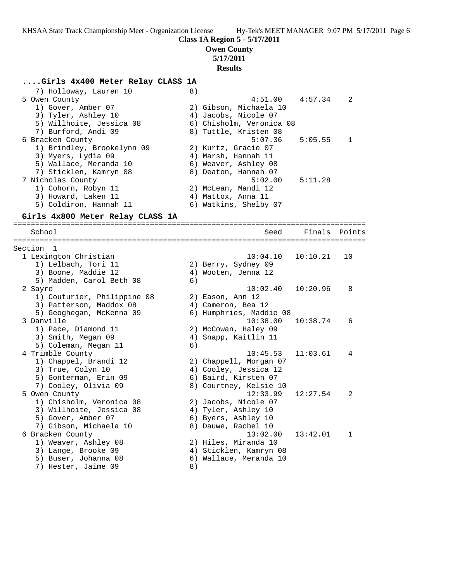**Class 1A Region 5 - 5/17/2011**

# **Owen County**

**5/17/2011 Results**

#### **....Girls 4x400 Meter Relay CLASS 1A**

7) Holloway, Lauren 10 (8) 5 Owen County 4:51.00 4:57.34 2 1) Gover, Amber 07 2) Gibson, Michaela 10 3) Tyler, Ashley 10 4) Jacobs, Nicole 07 5) Willhoite, Jessica 08 6) Chisholm, Veronica 08 7) Burford, Andi 09 8) Tuttle, Kristen 08 6 Bracken County 5:07.36 5:05.55 1 1) Brindley, Brookelynn 09 2) Kurtz, Gracie 07 3) Myers, Lydia 09 4) Marsh, Hannah 11 5) Wallace, Meranda 10 6) Weaver, Ashley 08 7) Sticklen, Kamryn 08 8) Deaton, Hannah 07 7 Nicholas County 5:02.00 5:11.28 1) Cohorn, Robyn 11 2) McLean, Mandi 12 3) Howard, Laken 11 (4) Mattox, Anna 11 5) Coldiron, Hannah 11 6) Watkins, Shelby 07 **Girls 4x800 Meter Relay CLASS 1A** ================================================================================ School Seed Finals Points ================================================================================ Section 1 1 Lexington Christian 10:04.10 10:10.21 10 1) Lelbach, Tori 11 2) Berry, Sydney 09 3) Boone, Maddie 12 4) Wooten, Jenna 12 5) Madden, Carol Beth 08 (6) 2 Sayre 10:02.40 10:20.96 8 1) Couturier, Philippine 08 2) Eason, Ann 12 3) Patterson, Maddox 08 4) Cameron, Bea 12 5) Geoghegan, McKenna 09 6) Humphries, Maddie 08 3 Danville 10:38.00 10:38.74 6 1) Pace, Diamond 11 2) McCowan, Haley 09 3) Smith, Megan 09 1988 1998 1999, Kaitlin 11 5) Coleman, Megan 11 6) 4 Trimble County 10:45.53 11:03.61 4 1) Chappel, Brandi 12 2) Chappell, Morgan 07 3) True, Colyn 10 4) Cooley, Jessica 12 5) Gonterman, Erin 09 6) Baird, Kirsten 07 7) Cooley, Olivia 09 8) Courtney, Kelsie 10 5 Owen County 12:33.99 12:27.54 2 1) Chisholm, Veronica 08 2) Jacobs, Nicole 07 3) Willhoite, Jessica 08 4) Tyler, Ashley 10 5) Gover, Amber 07 6) Byers, Ashley 10 7) Gibson, Michaela 10 and 8) Dauwe, Rachel 10 6 Bracken County 13:02.00 13:42.01 1 1) Weaver, Ashley 08 2) Hiles, Miranda 10

- 3) Lange, Brooke 09 4) Sticklen, Kamryn 08
- 5) Buser, Johanna 08 6) Wallace, Meranda 10
- 7) Hester, Jaime 09 (8)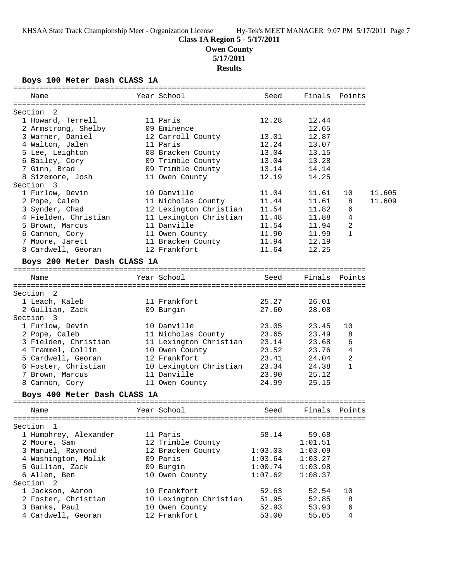# **Class 1A Region 5 - 5/17/2011**

**Owen County**

**5/17/2011**

**Results**

## **Boys 100 Meter Dash CLASS 1A**

| Name                               | Year School            | Seed    | Finals  | Points       |        |
|------------------------------------|------------------------|---------|---------|--------------|--------|
|                                    |                        |         |         |              |        |
| Section 2<br>1 Howard, Terrell     | 11 Paris               | 12.28   | 12.44   |              |        |
| 2 Armstrong, Shelby                | 09 Eminence            |         | 12.65   |              |        |
| 3 Warner, Daniel                   | 12 Carroll County      | 13.01   | 12.87   |              |        |
| 4 Walton, Jalen                    | 11 Paris               | 12.24   | 13.07   |              |        |
| 5 Lee, Leighton                    | 08 Bracken County      | 13.04   | 13.15   |              |        |
| 6 Bailey, Cory                     | 09 Trimble County      | 13.04   | 13.28   |              |        |
| 7 Ginn, Brad                       | 09 Trimble County      | 13.14   | 14.14   |              |        |
| 8 Sizemore, Josh                   | 11 Owen County         | 12.19   | 14.25   |              |        |
| Section 3                          |                        |         |         |              |        |
| 1 Furlow, Devin                    | 10 Danville            | 11.04   | 11.61   | 10           | 11.605 |
| 2 Pope, Caleb                      | 11 Nicholas County     | 11.44   | 11.61   | 8            | 11.609 |
| 3 Synder, Chad                     | 12 Lexington Christian | 11.54   | 11.82   | 6            |        |
| 4 Fielden, Christian               | 11 Lexington Christian | 11.48   | 11.88   | 4            |        |
| 5 Brown, Marcus                    | 11 Danville            | 11.54   | 11.94   | 2            |        |
| 6 Cannon, Cory                     | 11 Owen County         | 11.90   | 11.99   | $\mathbf{1}$ |        |
| 7 Moore, Jarett                    | 11 Bracken County      | 11.94   | 12.19   |              |        |
| 8 Cardwell, Georan                 | 12 Frankfort           | 11.64   | 12.25   |              |        |
|                                    |                        |         |         |              |        |
| Boys 200 Meter Dash CLASS 1A       |                        |         |         |              |        |
| Name                               | Year School            | Seed    | Finals  | Points       |        |
| Section 2                          |                        |         |         |              |        |
| 1 Leach, Kaleb                     | 11 Frankfort           | 25.27   | 26.01   |              |        |
| 2 Gullian, Zack                    | 09 Burgin              | 27.60   | 28.08   |              |        |
| Section 3                          |                        |         |         |              |        |
| 1 Furlow, Devin                    | 10 Danville            | 23.05   | 23.45   | 10           |        |
| 2 Pope, Caleb                      | 11 Nicholas County     | 23.65   | 23.49   | 8            |        |
| 3 Fielden, Christian               | 11 Lexington Christian | 23.14   | 23.68   | 6            |        |
| 4 Trammel, Collin                  | 10 Owen County         | 23.52   | 23.76   | 4            |        |
| 5 Cardwell, Georan                 | 12 Frankfort           | 23.41   | 24.04   | 2            |        |
| 6 Foster, Christian                | 10 Lexington Christian | 23.34   | 24.38   | $\mathbf{1}$ |        |
| 7 Brown, Marcus                    | 11 Danville            | 23.90   | 25.12   |              |        |
| 8 Cannon, Cory                     | 11 Owen County         | 24.99   | 25.15   |              |        |
| Boys 400 Meter Dash CLASS 1A       |                        |         |         |              |        |
|                                    |                        |         |         |              |        |
| Name                               | Year School            | Seed    | Finals  | Points       |        |
|                                    |                        |         |         |              |        |
| Section 1<br>1 Humphrey, Alexander | 11 Paris               | 58.14   | 59.68   |              |        |
|                                    |                        |         |         |              |        |
| 2 Moore, Sam<br>3 Manuel, Raymond  | 12 Trimble County      |         | 1:01.51 |              |        |
|                                    | 12 Bracken County      | 1:03.03 | 1:03.09 |              |        |
| 4 Washington, Malik                | 09 Paris               | 1:03.64 | 1:03.27 |              |        |
| 5 Gullian, Zack<br>6 Allen, Ben    | 09 Burgin              | 1:00.74 | 1:03.98 |              |        |
| Section <sub>2</sub>               | 10 Owen County         | 1:07.62 | 1:08.37 |              |        |
| 1 Jackson, Aaron                   | 10 Frankfort           | 52.63   | 52.54   | 10           |        |
| 2 Foster, Christian                | 10 Lexington Christian | 51.95   | 52.85   | 8            |        |
| 3 Banks, Paul                      | 10 Owen County         | 52.93   | 53.93   | 6            |        |
| 4 Cardwell, Georan                 | 12 Frankfort           | 53.00   | 55.05   | 4            |        |
|                                    |                        |         |         |              |        |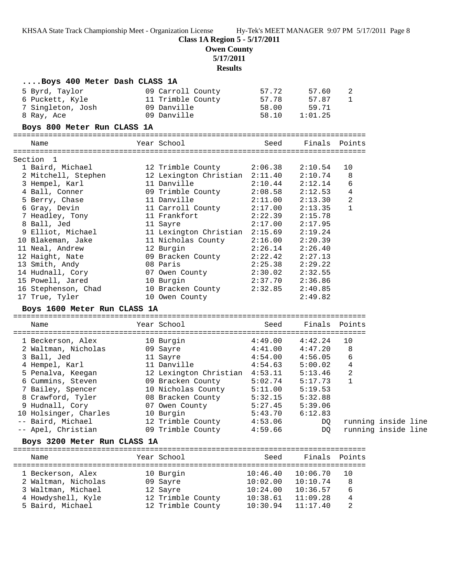# **Class 1A Region 5 - 5/17/2011**

**Owen County**

**5/17/2011**

## **Results**

| Boys 400 Meter Dash CLASS 1A              |                                                             |                      |                      |                     |  |
|-------------------------------------------|-------------------------------------------------------------|----------------------|----------------------|---------------------|--|
| 5 Byrd, Taylor                            | 09 Carroll County                                           | 57.72                | 57.60                | 2                   |  |
| 6 Puckett, Kyle                           | 11 Trimble County                                           | 57.78                | 57.87                | 1                   |  |
| 7 Singleton, Josh                         | 09 Danville                                                 | 58.00                | 59.71                |                     |  |
| 8 Ray, Ace                                | 09 Danville                                                 | 58.10                | 1:01.25              |                     |  |
| Boys 800 Meter Run CLASS 1A               |                                                             |                      |                      |                     |  |
| Name                                      | Year School                                                 | Seed                 | Finals Points        |                     |  |
| Section 1                                 |                                                             |                      |                      |                     |  |
| 1 Baird, Michael                          | 12 Trimble County                                           | 2:06.38              | 2:10.54              | 10                  |  |
| 2 Mitchell, Stephen                       | 12 Lexington Christian 2:11.40                              |                      | 2:10.74              | 8                   |  |
| 3 Hempel, Karl                            | 11 Danville                                                 | 2:10.44              | 2:12.14              | 6                   |  |
| 4 Ball, Conner                            | 09 Trimble County                                           | 2:08.58              | 2:12.53              | 4                   |  |
| 5 Berry, Chase                            | 11 Danville                                                 | 2:11.00              | 2:13.30              | 2                   |  |
| 6 Gray, Devin                             | 11 Carroll County                                           | 2:17.00              | 2:13.35              | $\mathbf{1}$        |  |
| 7 Headley, Tony                           | 11 Frankfort                                                | 2:22.39              | 2:15.78              |                     |  |
| 8 Ball, Jed                               | 11 Sayre                                                    | 2:17.00              | 2:17.95              |                     |  |
| 9 Elliot, Michael                         | 11 Lexington Christian 2:15.69                              |                      | 2:19.24              |                     |  |
| 10 Blakeman, Jake                         | 11 Nicholas County                                          | 2:16.00              | 2:20.39              |                     |  |
| 11 Neal, Andrew                           | 12 Burgin                                                   | 2:26.14              | 2:26.40              |                     |  |
| 12 Haight, Nate                           | 09 Bracken County                                           | 2:22.42              | 2:27.13              |                     |  |
| 13 Smith, Andy                            | 08 Paris                                                    | 2:25.38              | 2:29.22              |                     |  |
| 14 Hudnall, Cory                          | 07 Owen County                                              | 2:30.02              | 2:32.55              |                     |  |
| 15 Powell, Jared                          | 10 Burgin                                                   | 2:37.70              | 2:36.86              |                     |  |
| 16 Stephenson, Chad                       | 10 Bracken County                                           | 2:32.85              | 2:40.85              |                     |  |
| 17 True, Tyler                            | 10 Owen County                                              |                      | 2:49.82              |                     |  |
| Boys 1600 Meter Run CLASS 1A              |                                                             |                      |                      |                     |  |
| Name                                      | Year School                                                 | Seed                 | Finals Points        |                     |  |
| 1 Beckerson, Alex                         | 10 Burgin                                                   | 4:49.00              | 4:42.24              | 10                  |  |
| 2 Waltman, Nicholas                       | 09 Sayre                                                    | 4:41.00              | 4:47.20              | 8                   |  |
| 3 Ball, Jed                               | 11 Sayre                                                    | 4:54.00              | 4:56.05              | 6                   |  |
| 4 Hempel, Karl                            | 11 Danville                                                 | 4:54.63              | 5:00.02              | 4                   |  |
| 5 Penalva, Keegan                         | 12 Lexington Christian 4:53.11<br>09 Bracken County 5:02.74 |                      | 5:13.46              | 2                   |  |
| 6 Cummins, Steven                         |                                                             |                      | 5:17.73              | 1                   |  |
| 7 Bailey, Spencer                         | 10 Nicholas County                                          | 5:11.00              | 5:19.53              |                     |  |
| 8 Crawford, Tyler                         | 08 Bracken County                                           | 5:32.15              | 5:32.88              |                     |  |
| 9 Hudnall, Cory                           | 07 Owen County                                              | 5:27.45              | 5:39.06              |                     |  |
| 10 Holsinger, Charles                     | 10 Burgin                                                   | 5:43.70              | 6:12.83              |                     |  |
| -- Baird, Michael                         | 12 Trimble County                                           | 4:53.06              | DQ                   | running inside line |  |
| -- Apel, Christian                        | 09 Trimble County                                           | 4:59.66              | DQ                   | running inside line |  |
| Boys 3200 Meter Run CLASS 1A              |                                                             |                      |                      |                     |  |
| Name                                      | Year School                                                 | Seed                 | Finals Points        |                     |  |
|                                           |                                                             |                      | 10:06.70             |                     |  |
| 1 Beckerson, Alex                         | 10 Burgin                                                   | 10:46.40             |                      | 10                  |  |
| 2 Waltman, Nicholas<br>3 Waltman, Michael | 09 Sayre<br>12 Sayre                                        | 10:02.00<br>10:24.00 | 10:10.74<br>10:36.57 | 8<br>6              |  |
| 4 Howdyshell, Kyle                        | 12 Trimble County                                           | 10:38.61             | 11:09.28             | 4                   |  |
|                                           |                                                             |                      |                      |                     |  |

5 Baird, Michael 12 Trimble County 10:30.94 11:17.40 2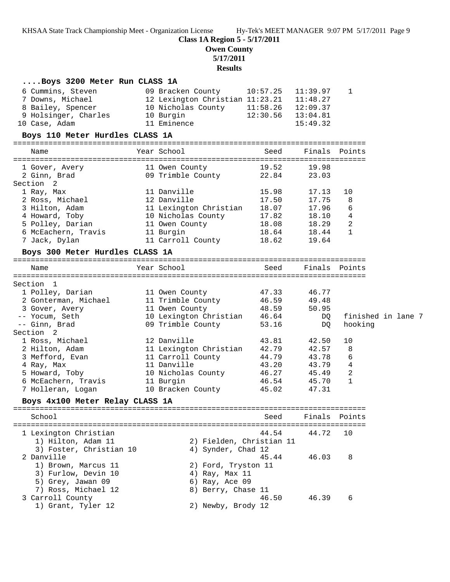**Class 1A Region 5 - 5/17/2011**

**Owen County**

**5/17/2011**

# **Results**

| Boys 3200 Meter Run CLASS 1A                                                                                                                                                                                                                     |                                                                                                                                |                |                                                    |                                        |                    |
|--------------------------------------------------------------------------------------------------------------------------------------------------------------------------------------------------------------------------------------------------|--------------------------------------------------------------------------------------------------------------------------------|----------------|----------------------------------------------------|----------------------------------------|--------------------|
| 6 Cummins, Steven<br>7 Downs, Michael 12 Lexington Christian 11:23.21 11:48.27<br>8 Bailey, Spencer 10 Nicholas County 11:58.26 12:09.37<br>9 Holsinger, Charles 10 Burgin 12:30.56 13:04.81<br>10 Case, Adam<br>Boys 110 Meter Hurdles CLASS 1A | 09 Bracken County 10:57.25<br>11 Eminence                                                                                      |                | 11:39.97<br>15:49.32                               | 1                                      |                    |
|                                                                                                                                                                                                                                                  |                                                                                                                                |                |                                                    |                                        |                    |
| Name                                                                                                                                                                                                                                             | Year School and the School                                                                                                     | Seed           | Finals Points                                      |                                        |                    |
| 1 Gover, Avery 11 Owen County 19.52<br>2 Ginn, Brad<br>Section <sub>2</sub>                                                                                                                                                                      | 09 Trimble County 22.84                                                                                                        |                | 19.98<br>23.03                                     |                                        |                    |
| 1 Ray, Max<br>ı кау, Max<br>2 Ross, Michael<br>3 Hilton, Adam<br>4 Howard, Toby 10 Nicholas County 17.82                                                                                                                                         | 11 Danville 15.98<br>12 Danville 17.50<br>11 Lexington Christian 18.07                                                         |                | 17.13<br>17.75<br>17.96<br>18.10                   | 10<br>8<br>6<br>4                      |                    |
| 5 Polley, Darian<br>6 McEachern, Travis 11 Burgin<br>7 Jack, Dylan                                                                                                                                                                               | 11 Owen County 18.08<br>11 Carroll County 18.62                                                                                | 18.64          | 18.29<br>18.44<br>19.64                            | 2<br>$\mathbf{1}$                      |                    |
| Boys 300 Meter Hurdles CLASS 1A                                                                                                                                                                                                                  |                                                                                                                                |                |                                                    |                                        |                    |
| Name                                                                                                                                                                                                                                             | Year School                                                                                                                    | Seed           | Finals Points                                      |                                        |                    |
| Section 1                                                                                                                                                                                                                                        |                                                                                                                                |                |                                                    |                                        |                    |
| 1 Polley, Darian<br>2 Gonterman, Michael<br>3 Gover, Avery                                                                                                                                                                                       | 11 Owen County 47.33<br>11 Trimble County 46.59<br>11 Owen County 48.59                                                        |                | 46.77<br>49.48<br>50.95                            |                                        |                    |
| -- Yocum, Seth<br>-- Ginn, Brad                                                                                                                                                                                                                  | 10 Lexington Christian 46.64<br>09 Trimble County 53.16                                                                        |                | DQ<br>DQ                                           | hooking                                | finished in lane 7 |
| Section <sub>2</sub>                                                                                                                                                                                                                             |                                                                                                                                |                |                                                    |                                        |                    |
| 1 Ross, Michael<br>2 Hilton, Adam<br>3 Mefford, Evan<br>4 Ray, Max<br>5 Howard, Toby<br>6 McEachern, Travis                                                                                                                                      | 12 Danville<br>11 Lexington Christian 42.79<br>11 Carroll County 44.79<br>11 Danville<br>10 Nicholas County 46.27<br>11 Burgin | 43.81<br>43.20 | 42.50<br>42.57<br>43.78<br>43.79<br>45.49<br>45.70 | 10<br>8<br>6<br>4<br>2<br>$\mathbf{1}$ |                    |
| 7 Holleran, Logan                                                                                                                                                                                                                                | 11 Burgin 16.54<br>10 Bracken County 15.02                                                                                     |                | 47.31                                              |                                        |                    |
| Boys 4x100 Meter Relay CLASS 1A                                                                                                                                                                                                                  |                                                                                                                                |                |                                                    |                                        |                    |
|                                                                                                                                                                                                                                                  | ==================================                                                                                             |                |                                                    |                                        |                    |
| School                                                                                                                                                                                                                                           |                                                                                                                                | Seed           |                                                    | Finals Points                          |                    |
| 1 Lexington Christian                                                                                                                                                                                                                            |                                                                                                                                | 44.54          | 44.72                                              | 10                                     |                    |
| 1) Hilton, Adam 11<br>3) Foster, Christian 10<br>2 Danville<br>1) Brown, Marcus 11<br>3) Furlow, Devin 10                                                                                                                                        | 2) Fielden, Christian 11<br>4) Synder, Chad 12<br>2) Ford, Tryston 11<br>4) Ray, Max 11                                        | 45.44          | 46.03                                              | 8                                      |                    |
| 5) Grey, Jawan 09<br>7) Ross, Michael 12<br>3 Carroll County<br>1) Grant, Tyler 12                                                                                                                                                               | 6) Ray, Ace 09<br>8) Berry, Chase 11<br>2) Newby, Brody 12                                                                     | 46.50          | 46.39                                              | 6                                      |                    |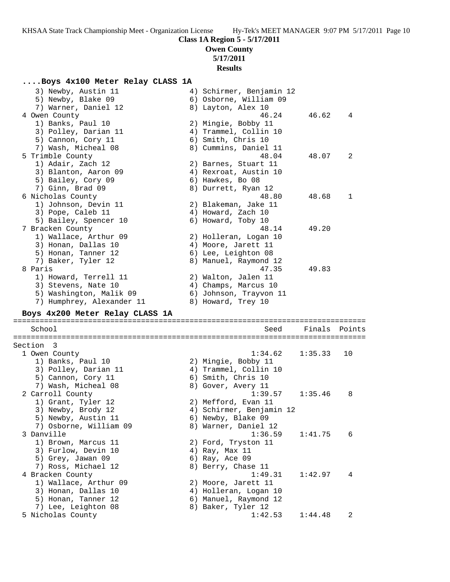# **Class 1A Region 5 - 5/17/2011**

## **Owen County 5/17/2011**

**Results**

# **....Boys 4x100 Meter Relay CLASS 1A**

| 3) Newby, Austin 11<br>5) Newby, Blake 09<br>7) Warner, Daniel 12 | 4) Schirmer, Benjamin 12<br>6) Osborne, William 09<br>8) Layton, Alex 10 |         |        |
|-------------------------------------------------------------------|--------------------------------------------------------------------------|---------|--------|
| 4 Owen County                                                     | 46.24                                                                    | 46.62   | 4      |
| 1) Banks, Paul 10                                                 | 2) Mingie, Bobby 11                                                      |         |        |
| 3) Polley, Darian 11                                              | 4) Trammel, Collin 10                                                    |         |        |
| 5) Cannon, Cory 11                                                | 6) Smith, Chris 10                                                       |         |        |
| 7) Wash, Micheal 08                                               | 8) Cummins, Daniel 11                                                    |         |        |
| 5 Trimble County                                                  | 48.04                                                                    | 48.07   | 2      |
| 1) Adair, Zach 12                                                 | 2) Barnes, Stuart 11                                                     |         |        |
| 3) Blanton, Aaron 09                                              | 4) Rexroat, Austin 10                                                    |         |        |
| 5) Bailey, Cory 09                                                | 6) Hawkes, Bo 08                                                         |         |        |
| 7) Ginn, Brad 09                                                  | 8) Durrett, Ryan 12                                                      |         |        |
| 6 Nicholas County                                                 | 48.80                                                                    | 48.68   | 1      |
| 1) Johnson, Devin 11                                              | 2) Blakeman, Jake 11                                                     |         |        |
| 3) Pope, Caleb 11                                                 | 4) Howard, Zach 10                                                       |         |        |
| 5) Bailey, Spencer 10                                             | 6) Howard, Toby 10                                                       |         |        |
| 7 Bracken County                                                  | 48.14                                                                    | 49.20   |        |
| 1) Wallace, Arthur 09                                             | 2) Holleran, Logan 10                                                    |         |        |
| 3) Honan, Dallas 10                                               | 4) Moore, Jarett 11                                                      |         |        |
| 5) Honan, Tanner 12                                               | 6) Lee, Leighton 08                                                      |         |        |
| 7) Baker, Tyler 12                                                | 8) Manuel, Raymond 12                                                    |         |        |
| 8 Paris                                                           | 47.35                                                                    | 49.83   |        |
| 1) Howard, Terrell 11                                             | 2) Walton, Jalen 11                                                      |         |        |
| 3) Stevens, Nate 10                                               | 4) Champs, Marcus 10                                                     |         |        |
| 5) Washington, Malik 09                                           | 6) Johnson, Trayvon 11                                                   |         |        |
| 7) Humphrey, Alexander 11                                         | 8) Howard, Trey 10                                                       |         |        |
|                                                                   |                                                                          |         |        |
| Boys 4x200 Meter Relay CLASS 1A                                   |                                                                          |         |        |
|                                                                   |                                                                          |         |        |
| School                                                            | Seed                                                                     | Finals  | Points |
|                                                                   |                                                                          |         |        |
| Section 3                                                         |                                                                          |         |        |
| 1 Owen County                                                     | 1:34.62                                                                  | 1:35.33 | 10     |
| 1) Banks, Paul 10                                                 | 2) Mingie, Bobby 11                                                      |         |        |
| 3) Polley, Darian 11                                              | 4) Trammel, Collin 10                                                    |         |        |
| 5) Cannon, Cory 11                                                | 6) Smith, Chris 10                                                       |         |        |
| 7) Wash, Micheal 08                                               | 8) Gover, Avery 11                                                       |         |        |
| 2 Carroll County                                                  | 1:39.57                                                                  | 1:35.46 | 8      |
| 1) Grant, Tyler 12                                                | 2) Mefford, Evan 11                                                      |         |        |
| 3) Newby, Brody 12                                                | 4) Schirmer, Benjamin 12                                                 |         |        |
| 5) Newby, Austin 11                                               | 6) Newby, Blake 09                                                       |         |        |
| 7) Osborne, William 09                                            | 8) Warner, Daniel 12                                                     |         |        |
| 3 Danville                                                        | 1:36.59                                                                  | 1:41.75 | 6      |
| 1) Brown, Marcus 11                                               | 2) Ford, Tryston 11                                                      |         |        |
| 3) Furlow, Devin 10                                               | 4) Ray, Max 11                                                           |         |        |
| 5) Grey, Jawan 09                                                 | 6) Ray, Ace 09                                                           |         |        |
| 7) Ross, Michael 12                                               | 8) Berry, Chase 11                                                       |         |        |
| 4 Bracken County                                                  | 1:49.31                                                                  | 1:42.97 | 4      |
| 1) Wallace, Arthur 09                                             | 2) Moore, Jarett 11                                                      |         |        |
| 3) Honan, Dallas 10                                               | 4) Holleran, Logan 10                                                    |         |        |
| 5) Honan, Tanner 12                                               | 6) Manuel, Raymond 12                                                    |         |        |
| 7) Lee, Leighton 08<br>5 Nicholas County                          | 8) Baker, Tyler 12<br>1:42.53                                            | 1:44.48 | 2      |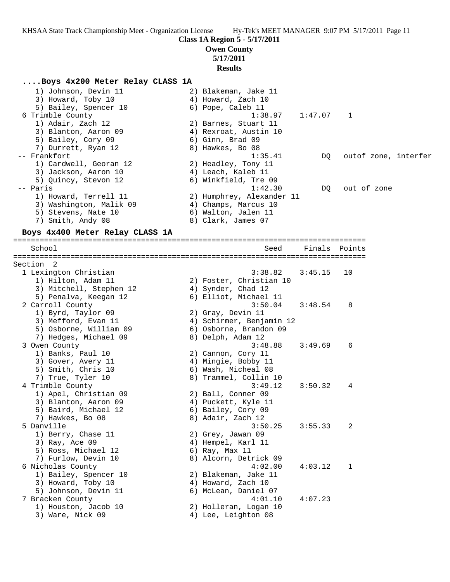**Class 1A Region 5 - 5/17/2011**

**Owen County**

## **5/17/2011**

**Results**

#### **....Boys 4x200 Meter Relay CLASS 1A**

| 1) Johnson, Devin 11    | 2) Blakeman, Jake 11      |                      |
|-------------------------|---------------------------|----------------------|
| 3) Howard, Toby 10      | 4) Howard, Zach 10        |                      |
| 5) Bailey, Spencer 10   | 6) Pope, Caleb 11         |                      |
| 6 Trimble County        | $1:38.97$ $1:47.07$ 1     |                      |
| 1) Adair, Zach 12       | 2) Barnes, Stuart 11      |                      |
| 3) Blanton, Aaron 09    | 4) Rexroat, Austin 10     |                      |
| 5) Bailey, Cory 09      | 6) Ginn, Brad 09          |                      |
| 7) Durrett, Ryan 12     | 8) Hawkes, Bo 08          |                      |
| -- Frankfort            | 1:35.41<br>DO             | outof zone, interfer |
| 1) Cardwell, Georan 12  | 2) Headley, Tony 11       |                      |
| 3) Jackson, Aaron 10    | 4) Leach, Kaleb 11        |                      |
| 5) Ouincy, Stevon 12    | 6) Winkfield, Tre 09      |                      |
| -- Paris                | 1:42.30<br>DO             | out of zone          |
| 1) Howard, Terrell 11   | 2) Humphrey, Alexander 11 |                      |
| 3) Washington, Malik 09 | 4) Champs, Marcus 10      |                      |
| 5) Stevens, Nate 10     | 6) Walton, Jalen 11       |                      |
| 7) Smith, Andy 08       | 8) Clark, James 07        |                      |
|                         |                           |                      |

#### **Boys 4x400 Meter Relay CLASS 1A**

================================================================================ School Seed Finals Points ================================================================================ Section 2 1 Lexington Christian 3:38.82 3:45.15 10 1) Hilton, Adam 11 2) Foster, Christian 10 3) Mitchell, Stephen 12 4) Synder, Chad 12 5) Penalva, Keegan 12 6) Elliot, Michael 11 2 Carroll County 3:50.04 3:48.54 8 1) Byrd, Taylor 09 2) Gray, Devin 11 3) Mefford, Evan 11 4) Schirmer, Benjamin 12 5) Osborne, William 09 6) Osborne, Brandon 09 7) Hedges, Michael 09 8) Delph, Adam 12 3 Owen County 3:48.88 3:49.69 6 1) Banks, Paul 10 2) Cannon, Cory 11 3) Gover, Avery 11 (4) Mingie, Bobby 11 5) Smith, Chris 10 6) Wash, Micheal 08 7) True, Tyler 10 8) Trammel, Collin 10 4 Trimble County 3:49.12 3:50.32 4 1) Apel, Christian 09 2) Ball, Conner 09 3) Blanton, Aaron 09 (4) Puckett, Kyle 11 5) Baird, Michael 12 6) Bailey, Cory 09 7) Hawkes, Bo 08 8) Adair, Zach 12 5 Danville 3:50.25 3:55.33 2 1) Berry, Chase 11 2) Grey, Jawan 09 3) Ray, Ace 09 120 120 121 121 122 123 124 125 126 127 128 129 120 121 12 5) Ross, Michael 12 (6) Ray, Max 11 7) Furlow, Devin 10 8) Alcorn, Detrick 09 6 Nicholas County 4:02.00 4:03.12 1 1) Bailey, Spencer 10 2) Blakeman, Jake 11 3) Howard, Toby 10 4) Howard, Zach 10 5) Johnson, Devin 11  $\qquad \qquad$  6) McLean, Daniel 07 7 Bracken County 4:01.10 4:07.23 1) Houston, Jacob 10 2) Holleran, Logan 10 3) Ware, Nick 09 30 4) Lee, Leighton 08